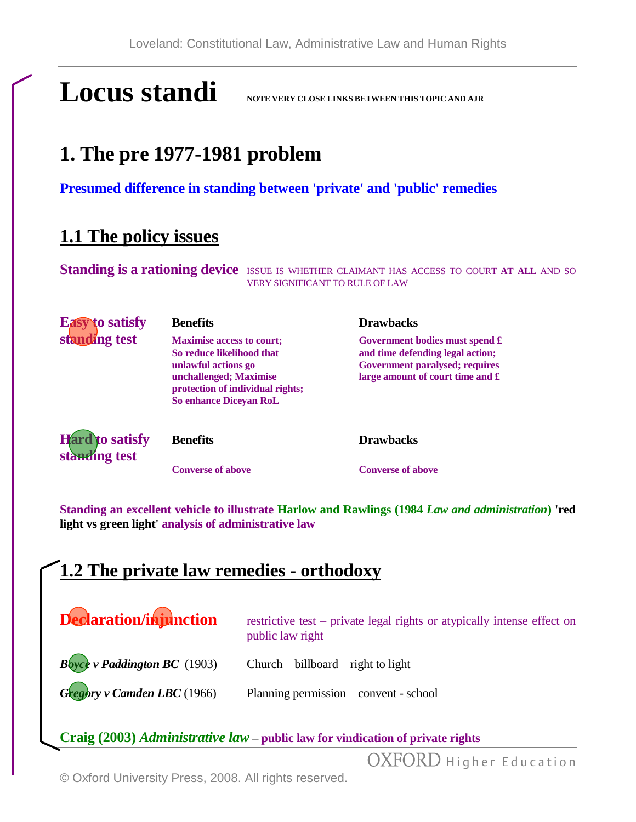# **Locus standi NOTE VERY CLOSE LINKS BETWEEN THIS TOPIC AND AJR**

# **1. The pre 1977-1981 problem**

**Presumed difference in standing between 'private' and 'public' remedies**

## **1.1 The policy issues**

Standing is a rationing device **ISSUE IS WHETHER CLAIMANT HAS ACCESS TO COURT AT ALL** AND SO VERY SIGNIFICANT TO RULE OF LAW

| <b>Easy to satisfy</b>                  | <b>Benefits</b>                                                                                                                                                                     | <b>Drawbacks</b>                                                                                                                                     |
|-----------------------------------------|-------------------------------------------------------------------------------------------------------------------------------------------------------------------------------------|------------------------------------------------------------------------------------------------------------------------------------------------------|
| standing test                           | <b>Maximise access to court;</b><br>So reduce likelihood that<br>unlawful actions go<br>unchallenged; Maximise<br>protection of individual rights;<br><b>So enhance Diceyan RoL</b> | Government bodies must spend £<br>and time defending legal action;<br>Government paralysed; requires<br>large amount of court time and $\mathfrak k$ |
| <b>Hard</b> to satisfy<br>standing test | <b>Benefits</b>                                                                                                                                                                     | <b>Drawbacks</b>                                                                                                                                     |
|                                         | <b>Converse of above</b>                                                                                                                                                            | <b>Converse of above</b>                                                                                                                             |

**Standing an excellent vehicle to illustrate Harlow and Rawlings (1984** *Law and administration***) 'red light vs green light' analysis of administrative law**

### **1.2 The private law remedies - orthodoxy**

| Declaration/injunction          | restrictive test – private legal rights or atypically intense effect on<br>public law right |
|---------------------------------|---------------------------------------------------------------------------------------------|
| $B$ oyce v Paddington BC (1903) | Church – billboard – right to light                                                         |
| Gregory v Camden LBC (1966)     | Planning permission – convent - school                                                      |

**Craig (2003)** *Administrative law* **– public law for vindication of private rights**

OXFORD Higher Education

© Oxford University Press, 2008. All rights reserved.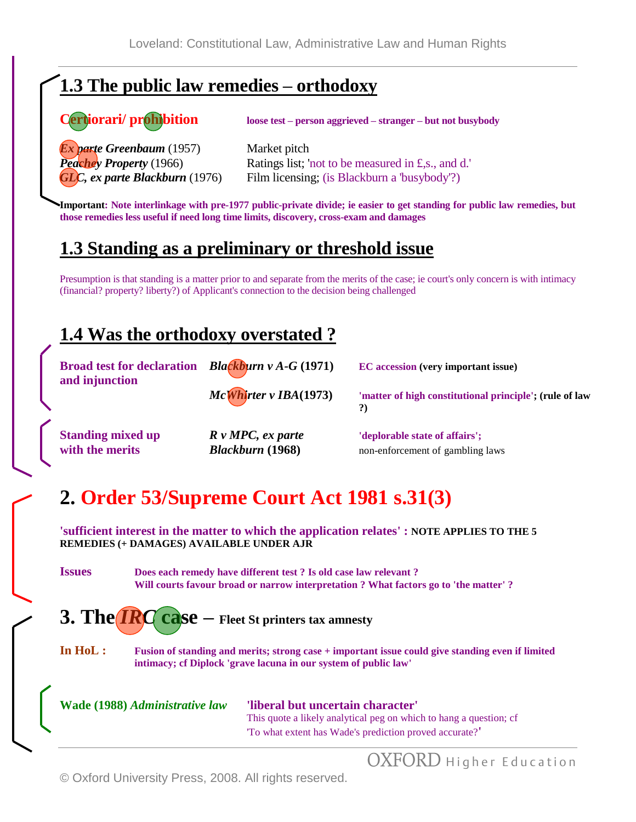# **1.3 The public law remedies – orthodoxy**

#### **Certiorari/ prohibition loose test – person aggrieved – stranger – but not busybody**

*Ex parte Greenbaum* (1957) Market pitch

*Peachey Property* (1966) Ratings list; 'not to be measured in £,s., and d.' *GLC, ex parte Blackburn* (1976) Film licensing; (is Blackburn a 'busybody'?)

**Important: Note interlinkage with pre-1977 public-private divide; ie easier to get standing for public law remedies, but those remedies less useful if need long time limits, discovery, cross-exam and damages**

### **1.3 Standing as a preliminary or threshold issue**

Presumption is that standing is a matter prior to and separate from the merits of the case; ie court's only concern is with intimacy (financial? property? liberty?) of Applicant's connection to the decision being challenged

### **1.4 Was the orthodoxy overstated ?**

**Broad test for declaration** *Blackburn v A-G* (1971) **EC** accession (very important issue) **and injunction**

*McWhirter v IBA***(1973) 'matter of high constitutional principle'; (rule of law ?)**

**Standing mixed up** *R v MPC, ex parte**deplorable state of affairs'***;** *with the merits Blackburn* **(1968)** non-enforcement of gambling laws

# **2. Order 53/Supreme Court Act 1981 s.31(3)**

**'sufficient interest in the matter to which the application relates' : NOTE APPLIES TO THE 5 REMEDIES (+ DAMAGES) AVAILABLE UNDER AJR**

**Issues Does each remedy have different test ? Is old case law relevant ? Will courts favour broad or narrow interpretation ? What factors go to 'the matter' ?**

**3. The** *IRC* **case – Fleet St printers tax amnesty**

**In HoL : Fusion of standing and merits; strong case + important issue could give standing even if limited intimacy; cf Diplock 'grave lacuna in our system of public law'**

**Wade (1988)** *Administrative law* **'liberal but uncertain character'** This quote a likely analytical peg on which to hang a question; cf 'To what extent has Wade's prediction proved accurate?**'**

OXFORD Higher Education